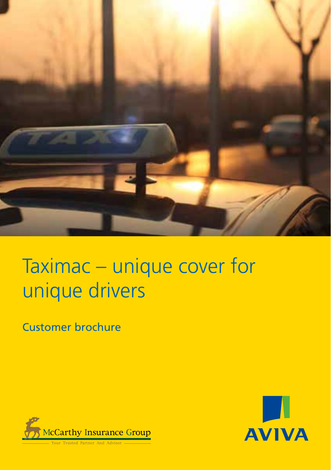

# Taximac – unique cover for unique drivers

Customer brochure



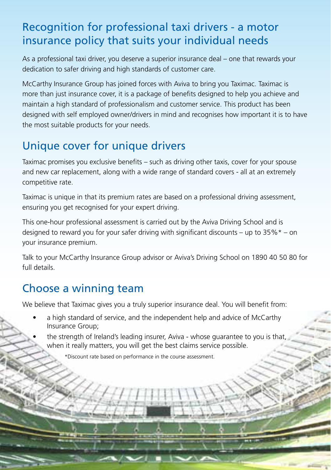## Recognition for professional taxi drivers - a motor insurance policy that suits your individual needs

As a professional taxi driver, you deserve a superior insurance deal – one that rewards your dedication to safer driving and high standards of customer care.

McCarthy Insurance Group has joined forces with Aviva to bring you Taximac. Taximac is more than just insurance cover, it is a package of benefits designed to help you achieve and maintain a high standard of professionalism and customer service. This product has been designed with self employed owner/drivers in mind and recognises how important it is to have the most suitable products for your needs.

## Unique cover for unique drivers

Taximac promises you exclusive benefits – such as driving other taxis, cover for your spouse and new car replacement, along with a wide range of standard covers - all at an extremely competitive rate.

Taximac is unique in that its premium rates are based on a professional driving assessment, ensuring you get recognised for your expert driving.

This one-hour professional assessment is carried out by the Aviva Driving School and is designed to reward you for your safer driving with significant discounts – up to  $35\%$ \* – on your insurance premium.

Talk to your McCarthy Insurance Group advisor or Aviva's Driving School on 1890 40 50 80 for full details.

## Choose a winning team

We believe that Taximac gives you a truly superior insurance deal. You will benefit from:

- a high standard of service, and the independent help and advice of McCarthy Insurance Group;
- the strength of Ireland's leading insurer, Aviva whose guarantee to you is that, when it really matters, you will get the best claims service possible.

 $\geqslant$ 

\*Discount rate based on performance in the course assessment.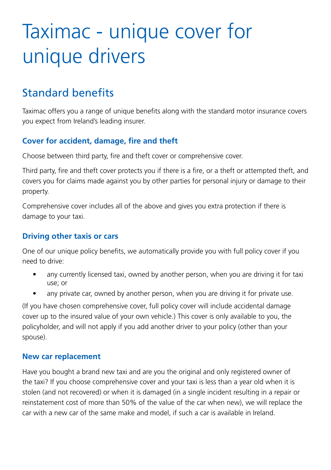## Taximac - unique cover for unique drivers

## Standard benefits

Taximac offers you a range of unique benefits along with the standard motor insurance covers you expect from Ireland's leading insurer.

#### **Cover for accident, damage, fire and theft**

Choose between third party, fire and theft cover or comprehensive cover.

Third party, fire and theft cover protects you if there is a fire, or a theft or attempted theft, and covers you for claims made against you by other parties for personal injury or damage to their property.

Comprehensive cover includes all of the above and gives you extra protection if there is damage to your taxi.

#### **Driving other taxis or cars**

One of our unique policy benefits, we automatically provide you with full policy cover if you need to drive:

- any currently licensed taxi, owned by another person, when you are driving it for taxi use; or
- any private car, owned by another person, when you are driving it for private use.

(If you have chosen comprehensive cover, full policy cover will include accidental damage cover up to the insured value of your own vehicle.) This cover is only available to you, the policyholder, and will not apply if you add another driver to your policy (other than your spouse).

#### **New car replacement**

Have you bought a brand new taxi and are you the original and only registered owner of the taxi? If you choose comprehensive cover and your taxi is less than a year old when it is stolen (and not recovered) or when it is damaged (in a single incident resulting in a repair or reinstatement cost of more than 50% of the value of the car when new), we will replace the car with a new car of the same make and model, if such a car is available in Ireland.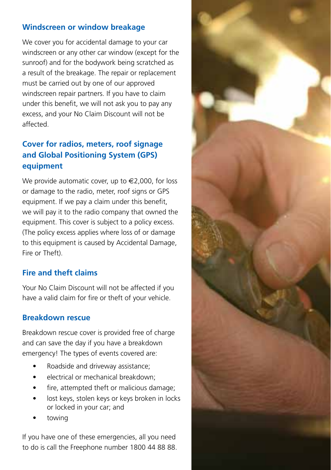#### **Windscreen or window breakage**

We cover you for accidental damage to your car windscreen or any other car window (except for the sunroof) and for the bodywork being scratched as a result of the breakage. The repair or replacement must be carried out by one of our approved windscreen repair partners. If you have to claim under this benefit, we will not ask you to pay any excess, and your No Claim Discount will not be affected.

### **Cover for radios, meters, roof signage and Global Positioning System (GPS) equipment**

We provide automatic cover, up to  $\in$  2,000, for loss or damage to the radio, meter, roof signs or GPS equipment. If we pay a claim under this benefit, we will pay it to the radio company that owned the equipment. This cover is subject to a policy excess. (The policy excess applies where loss of or damage to this equipment is caused by Accidental Damage, Fire or Theft).

#### **Fire and theft claims**

Your No Claim Discount will not be affected if you have a valid claim for fire or theft of your vehicle.

#### **Breakdown rescue**

Breakdown rescue cover is provided free of charge and can save the day if you have a breakdown emergency! The types of events covered are:

- Roadside and driveway assistance;
- electrical or mechanical breakdown:
- fire, attempted theft or malicious damage:
- lost keys, stolen keys or keys broken in locks or locked in your car; and
- towing

If you have one of these emergencies, all you need to do is call the Freephone number 1800 44 88 88.

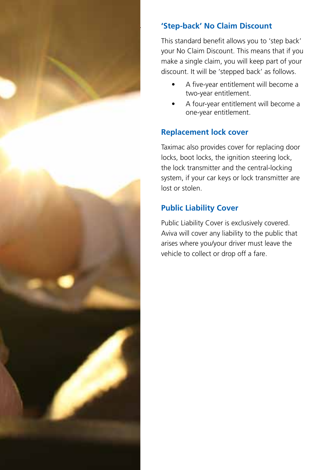

#### 'Step-back' No Claim Discount

This standard benefit allows you to 'step back' your No Claim Discount. This means that if you make a single claim, you will keep part of your discount. It will be 'stepped back' as follows.

- A five-year entitlement will become a two-year entitlement.
- A four-year entitlement will become a one-year entitlement.

#### **Replacement lock cover**

Taximac also provides cover for replacing door locks, boot locks, the ignition steering lock, the lock transmitter and the central-locking system, if your car keys or lock transmitter are lost or stolen.

### **Public Liability Cover**

Public Liability Cover is exclusively covered. Aviva will cover any liability to the public that arises where you/your driver must leave the vehicle to collect or drop off a fare.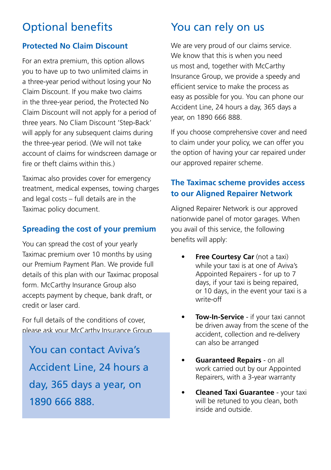## Optional benefits

#### **Protected No Claim Discount**

For an extra premium, this option allows you to have up to two unlimited claims in a three-year period without losing your No Claim Discount. If you make two claims in the three-year period, the Protected No Claim Discount will not apply for a period of three years. No Cliam Discount 'Step-Back' will apply for any subsequent claims during the three-year period. (We will not take account of claims for windscreen damage or fire or theft claims within this.)

Taximac also provides cover for emergency treatment, medical expenses, towing charges and legal costs – full details are in the Taximac policy document.

#### **Spreading the cost of your premium**

You can spread the cost of your yearly Taximac premium over 10 months by using our Premium Payment Plan. We provide full details of this plan with our Taximac proposal form. McCarthy Insurance Group also accepts payment by cheque, bank draft, or credit or laser card.

For full details of the conditions of cover, please ask your McCarthy Insurance Group

You can contact Aviva's Accident Line, 24 hours a day, 365 days a year, on 1890 666 888.

## You can rely on us

We are very proud of our claims service. We know that this is when you need us most and, together with McCarthy Insurance Group, we provide a speedy and efficient service to make the process as easy as possible for you. You can phone our Accident Line, 24 hours a day, 365 days a year, on 1890 666 888.

If you choose comprehensive cover and need to claim under your policy, we can offer you the option of having your car repaired under our approved repairer scheme.

#### **The Taximac scheme provides access to our Aligned Repairer Network**

Aligned Repairer Network is our approved nationwide panel of motor garages. When you avail of this service, the following benefits will apply:

- **Free Courtesy Car** (not a taxi) while your taxi is at one of Aviva's Appointed Repairers - for up to 7 days, if your taxi is being repaired, or 10 days, in the event your taxi is a write-off
- **• Tow-In-Service** if your taxi cannot be driven away from the scene of the accident, collection and re-delivery can also be arranged
- **Guaranteed Repairs** on all work carried out by our Appointed Repairers, with a 3-year warranty
- **Cleaned Taxi Guarantee your taxi** will be retuned to you clean, both inside and outside.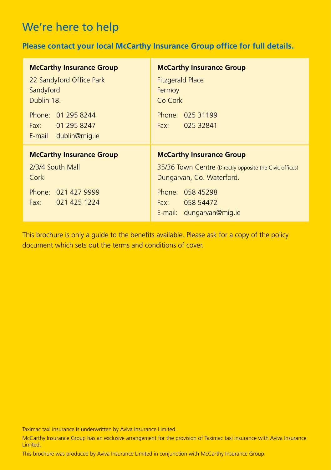## We're here to help

#### **Please contact your local McCarthy Insurance Group office for full details.**

| <b>McCarthy Insurance Group</b>                         |
|---------------------------------------------------------|
| <b>Fitzgerald Place</b>                                 |
| Fermoy                                                  |
| Co Cork                                                 |
| Phone: 025 31199                                        |
| Fax: 025 32841                                          |
|                                                         |
| <b>McCarthy Insurance Group</b>                         |
| 35/36 Town Centre (Directly opposite the Civic offices) |
| Dungarvan, Co. Waterford.                               |
| Phone: 058 45298                                        |
| 058 54472<br>Fax                                        |
| E-mail: dungarvan@mig.je                                |
|                                                         |

This brochure is only a guide to the benefits available. Please ask for a copy of the policy document which sets out the terms and conditions of cover.

Taximac taxi insurance is underwritten by Aviva Insurance Limited.

McCarthy Insurance Group has an exclusive arrangement for the provision of Taximac taxi insurance with Aviva Insurance Limited.

This brochure was produced by Aviva Insurance Limited in conjunction with McCarthy Insurance Group.